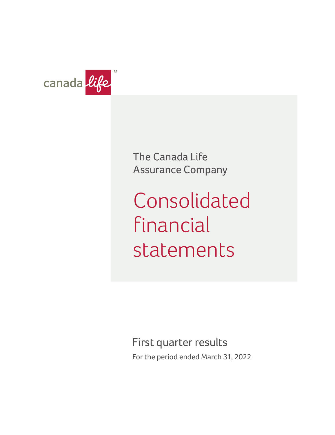

The Canada Life Assurance Company

Consolidated financial statements

First quarter results

For the period ended March 31, 2022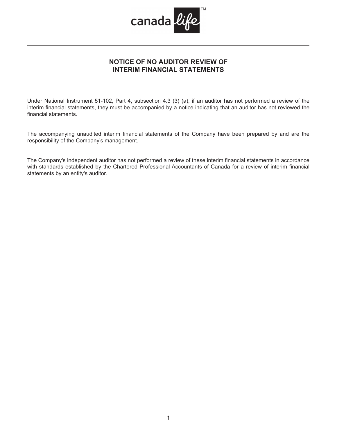

# **NOTICE OF NO AUDITOR REVIEW OF INTERIM FINANCIAL STATEMENTS**

Under National Instrument 51-102, Part 4, subsection 4.3 (3) (a), if an auditor has not performed a review of the interim financial statements, they must be accompanied by a notice indicating that an auditor has not reviewed the financial statements.

The accompanying unaudited interim financial statements of the Company have been prepared by and are the responsibility of the Company's management.

The Company's independent auditor has not performed a review of these interim financial statements in accordance with standards established by the Chartered Professional Accountants of Canada for a review of interim financial statements by an entity's auditor.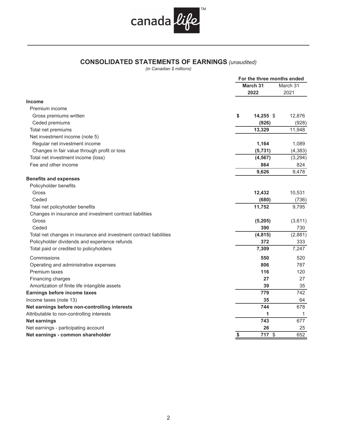

# **CONSOLIDATED STATEMENTS OF EARNINGS** *(unaudited)*

|                                                                    | For the three months ended |          |  |  |
|--------------------------------------------------------------------|----------------------------|----------|--|--|
|                                                                    | <b>March 31</b>            |          |  |  |
|                                                                    | 2022                       | 2021     |  |  |
| <b>Income</b>                                                      |                            |          |  |  |
| Premium income                                                     |                            |          |  |  |
| Gross premiums written                                             | \$<br>$14,255$ \$          | 12,876   |  |  |
| Ceded premiums                                                     | (926)                      | (928)    |  |  |
| Total net premiums                                                 | 13,329                     | 11,948   |  |  |
| Net investment income (note 5)                                     |                            |          |  |  |
| Regular net investment income                                      | 1,164                      | 1,089    |  |  |
| Changes in fair value through profit or loss                       | (5, 731)                   | (4, 383) |  |  |
| Total net investment income (loss)                                 | (4, 567)                   | (3, 294) |  |  |
| Fee and other income                                               | 864                        | 824      |  |  |
|                                                                    | 9,626                      | 9,478    |  |  |
| <b>Benefits and expenses</b>                                       |                            |          |  |  |
| Policyholder benefits                                              |                            |          |  |  |
| Gross                                                              | 12,432                     | 10,531   |  |  |
| Ceded                                                              | (680)                      | (736)    |  |  |
| Total net policyholder benefits                                    | 11,752                     | 9,795    |  |  |
| Changes in insurance and investment contract liabilities           |                            |          |  |  |
| Gross                                                              | (5, 205)                   | (3,611)  |  |  |
| Ceded                                                              | 390                        | 730      |  |  |
| Total net changes in insurance and investment contract liabilities | (4, 815)                   | (2,881)  |  |  |
| Policyholder dividends and experience refunds                      | 372                        | 333      |  |  |
| Total paid or credited to policyholders                            | 7,309                      | 7,247    |  |  |
| Commissions                                                        | 550                        | 520      |  |  |
| Operating and administrative expenses                              | 806                        | 787      |  |  |
| Premium taxes                                                      | 116                        | 120      |  |  |
| Financing charges                                                  | 27                         | 27       |  |  |
| Amortization of finite life intangible assets                      | 39                         | 35       |  |  |
| Earnings before income taxes                                       | 779                        | 742      |  |  |
| Income taxes (note 13)                                             | 35                         | 64       |  |  |
| Net earnings before non-controlling interests                      | 744                        | 678      |  |  |
| Attributable to non-controlling interests                          | 1                          | 1        |  |  |
| <b>Net earnings</b>                                                | 743                        | 677      |  |  |
| Net earnings - participating account                               | 26                         | 25       |  |  |
| Net earnings - common shareholder                                  | \$<br>717 \$               | 652      |  |  |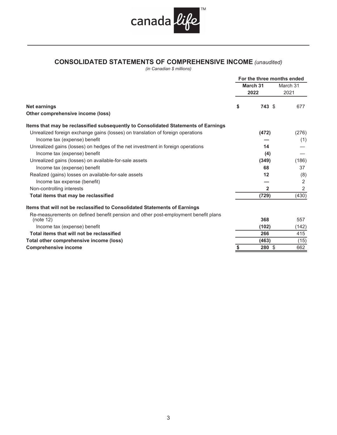

# **CONSOLIDATED STATEMENTS OF COMPREHENSIVE INCOME** *(unaudited)*

|                                                                                                 | For the three months ended |                  |
|-------------------------------------------------------------------------------------------------|----------------------------|------------------|
|                                                                                                 | March 31<br>2022           | March 31<br>2021 |
| <b>Net earnings</b>                                                                             | \$<br>743 \$               | 677              |
| Other comprehensive income (loss)                                                               |                            |                  |
| Items that may be reclassified subsequently to Consolidated Statements of Earnings              |                            |                  |
| Unrealized foreign exchange gains (losses) on translation of foreign operations                 | (472)                      | (276)            |
| Income tax (expense) benefit                                                                    |                            | (1)              |
| Unrealized gains (losses) on hedges of the net investment in foreign operations                 | 14                         |                  |
| Income tax (expense) benefit                                                                    | (4)                        |                  |
| Unrealized gains (losses) on available-for-sale assets                                          | (349)                      | (186)            |
| Income tax (expense) benefit                                                                    | 68                         | 37               |
| Realized (gains) losses on available-for-sale assets                                            | 12                         | (8)              |
| Income tax expense (benefit)                                                                    |                            | 2                |
| Non-controlling interests                                                                       | $\mathbf{2}$               | 2                |
| Total items that may be reclassified                                                            | (729)                      | (430)            |
| Items that will not be reclassified to Consolidated Statements of Earnings                      |                            |                  |
| Re-measurements on defined benefit pension and other post-employment benefit plans<br>(note 12) | 368                        | 557              |
| Income tax (expense) benefit                                                                    | (102)                      | (142)            |
| Total items that will not be reclassified                                                       | 266                        | 415              |
| Total other comprehensive income (loss)                                                         | (463)                      | (15)             |
| <b>Comprehensive income</b>                                                                     | \$<br>280 \$               | 662              |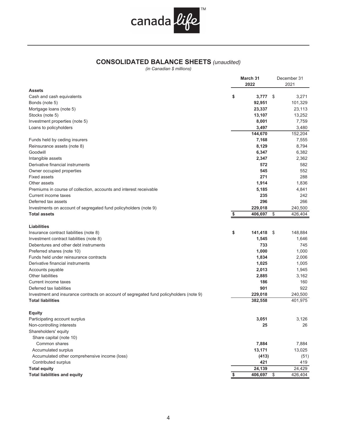

# **CONSOLIDATED BALANCE SHEETS** *(unaudited)*

|                                                                                         | March 31       | December 31    |
|-----------------------------------------------------------------------------------------|----------------|----------------|
|                                                                                         | 2022           | 2021           |
| <b>Assets</b>                                                                           |                |                |
| Cash and cash equivalents                                                               | \$<br>3,777    | \$<br>3,271    |
| Bonds (note 5)                                                                          | 92,951         | 101,329        |
| Mortgage loans (note 5)                                                                 | 23,337         | 23,113         |
| Stocks (note 5)                                                                         | 13,107         | 13,252         |
| Investment properties (note 5)                                                          | 8,001          | 7,759          |
| Loans to policyholders                                                                  | 3,497          | 3,480          |
| Funds held by ceding insurers                                                           | 144,670        | 152,204        |
|                                                                                         | 7,168<br>8,129 | 7,555<br>8,794 |
| Reinsurance assets (note 8)<br>Goodwill                                                 | 6,347          | 6,382          |
| Intangible assets                                                                       | 2,347          | 2,362          |
| Derivative financial instruments                                                        | 572            | 582            |
| Owner occupied properties                                                               | 545            | 552            |
| <b>Fixed assets</b>                                                                     | 271            | 288            |
| Other assets                                                                            | 1,914          | 1,836          |
| Premiums in course of collection, accounts and interest receivable                      | 5,185          | 4,841          |
| Current income taxes                                                                    | 235            | 242            |
| Deferred tax assets                                                                     | 296            | 266            |
| Investments on account of segregated fund policyholders (note 9)                        | 229,018        | 240,500        |
| <b>Total assets</b>                                                                     | \$<br>406,697  | \$<br>426,404  |
|                                                                                         |                |                |
| <b>Liabilities</b>                                                                      |                |                |
| Insurance contract liabilities (note 8)                                                 | \$<br>141,418  | \$<br>148,884  |
| Investment contract liabilities (note 8)                                                | 1,545          | 1,646          |
| Debentures and other debt instruments                                                   | 733            | 745            |
| Preferred shares (note 10)                                                              | 1,000          | 1,000          |
| Funds held under reinsurance contracts                                                  | 1,834          | 2,006          |
| Derivative financial instruments                                                        | 1,025          | 1,005          |
| Accounts payable                                                                        | 2,013          | 1,945          |
| Other liabilities                                                                       | 2,885          | 3,162          |
| Current income taxes                                                                    | 186            | 160            |
| Deferred tax liabilities                                                                | 901            | 922            |
| Investment and insurance contracts on account of segregated fund policyholders (note 9) | 229,018        | 240,500        |
| <b>Total liabilities</b>                                                                | 382,558        | 401,975        |
| <b>Equity</b>                                                                           |                |                |
| Participating account surplus                                                           | 3,051          | 3,126          |
| Non-controlling interests                                                               | 25             | 26             |
| Shareholders' equity                                                                    |                |                |
| Share capital (note 10)                                                                 |                |                |
| Common shares                                                                           | 7,884          | 7,884          |
| Accumulated surplus                                                                     | 13,171         | 13,025         |
| Accumulated other comprehensive income (loss)                                           | (413)          | (51)           |
| Contributed surplus                                                                     | 421            | 419            |
| <b>Total equity</b>                                                                     | 24,139         | 24,429         |
| <b>Total liabilities and equity</b>                                                     | 406,697        | \$<br>426,404  |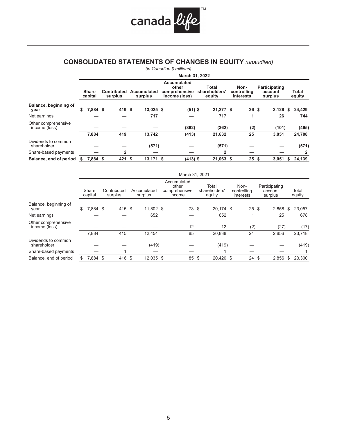

# **CONSOLIDATED STATEMENTS OF CHANGES IN EQUITY** *(unaudited)*

|                                      |    |                         |                        |                        | (in Canadian \$ millions)                                     |                                  |                                  |      |                                     |    |                 |
|--------------------------------------|----|-------------------------|------------------------|------------------------|---------------------------------------------------------------|----------------------------------|----------------------------------|------|-------------------------------------|----|-----------------|
|                                      |    |                         |                        |                        | March 31, 2022                                                |                                  |                                  |      |                                     |    |                 |
|                                      |    | <b>Share</b><br>capital | Contributed<br>surplus | Accumulated<br>surplus | <b>Accumulated</b><br>other<br>comprehensive<br>income (loss) | Total<br>shareholders'<br>equity | Non-<br>controlling<br>interests |      | Participating<br>account<br>surplus |    | Total<br>equity |
| Balance, beginning of<br>year        | \$ | 7,884 \$                | 419 \$                 | 13,025 \$              | $(51)$ \$                                                     | $21,277$ \$                      | 26 <sup>5</sup>                  |      | $3,126$ \$                          |    | 24,429          |
| Net earnings                         |    |                         |                        | 717                    |                                                               | 717                              | 1                                |      | 26                                  |    | 744             |
| Other comprehensive<br>income (loss) |    |                         |                        |                        | (362)                                                         | (362)                            | (2)                              |      | (101)                               |    | (465)           |
|                                      |    | 7,884                   | 419                    | 13,742                 | (413)                                                         | 21,632                           | 25                               |      | 3,051                               |    | 24,708          |
| Dividends to common<br>shareholder   |    |                         |                        | (571)                  |                                                               | (571)                            |                                  |      |                                     |    | (571)           |
| Share-based payments                 |    |                         | $\overline{2}$         |                        |                                                               | 2                                |                                  |      |                                     |    | $\mathbf{2}$    |
| Balance, end of period               | S  | 7.884 \$                | $421$ \$               | $13,171$ \$            | $(413)$ \$                                                    | $21,063$ \$                      | 25                               | - \$ | 3.051                               | s. | 24,139          |

|                                      |                  |                        |                        | March 31, 2021                                  |                                  |                                  |      |                                     |                 |
|--------------------------------------|------------------|------------------------|------------------------|-------------------------------------------------|----------------------------------|----------------------------------|------|-------------------------------------|-----------------|
|                                      | Share<br>capital | Contributed<br>surplus | Accumulated<br>surplus | Accumulated<br>other<br>comprehensive<br>income | Total<br>shareholders'<br>equity | Non-<br>controlling<br>interests |      | Participating<br>account<br>surplus | Total<br>equity |
| Balance, beginning of<br>year        | \$<br>7,884 \$   | 415 \$                 | 11,802 \$              | 73 \$                                           | 20,174 \$                        | $25 \text{ } $$                  |      | 2,858                               | \$<br>23,057    |
| Net earnings                         |                  |                        | 652                    |                                                 | 652                              | 1                                |      | 25                                  | 678             |
| Other comprehensive<br>income (loss) |                  |                        |                        | 12                                              | 12                               | (2)                              |      | (27)                                | (17)            |
|                                      | 7,884            | 415                    | 12,454                 | 85                                              | 20,838                           | 24                               |      | 2,856                               | 23,718          |
| Dividends to common<br>shareholder   |                  |                        | (419)                  |                                                 | (419)                            |                                  |      |                                     | (419)           |
| Share-based payments                 |                  |                        |                        |                                                 | и                                |                                  |      |                                     |                 |
| Balance, end of period               | 7.884 \$         | 416 \$                 | 12.035 \$              | 85                                              | \$<br>20.420 \$                  | 24                               | - \$ | 2,856                               | \$<br>23.300    |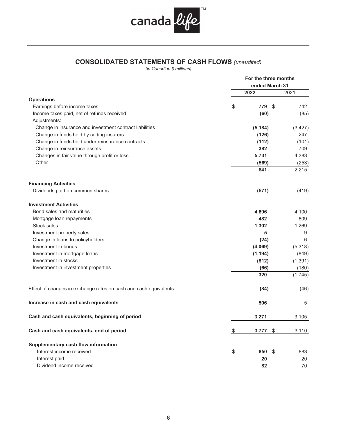

# **CONSOLIDATED STATEMENTS OF CASH FLOWS** *(unaudited)*

|                                                                  | For the three months<br>ended March 31 |          |
|------------------------------------------------------------------|----------------------------------------|----------|
|                                                                  | 2022                                   | 2021     |
| <b>Operations</b>                                                |                                        |          |
| Earnings before income taxes                                     | \$<br>779<br>- \$                      | 742      |
| Income taxes paid, net of refunds received                       | (60)                                   | (85)     |
| Adjustments:                                                     |                                        |          |
| Change in insurance and investment contract liabilities          | (5, 184)                               | (3, 427) |
| Change in funds held by ceding insurers                          | (126)                                  | 247      |
| Change in funds held under reinsurance contracts                 | (112)                                  | (101)    |
| Change in reinsurance assets                                     | 382                                    | 709      |
| Changes in fair value through profit or loss                     | 5,731                                  | 4,383    |
| Other                                                            | (569)                                  | (253)    |
|                                                                  | 841                                    | 2,215    |
| <b>Financing Activities</b>                                      |                                        |          |
| Dividends paid on common shares                                  | (571)                                  | (419)    |
| <b>Investment Activities</b>                                     |                                        |          |
| Bond sales and maturities                                        | 4,696                                  | 4,100    |
| Mortgage loan repayments                                         | 482                                    | 609      |
| Stock sales                                                      | 1,302                                  | 1,269    |
| Investment property sales                                        | 5                                      | 9        |
| Change in loans to policyholders                                 | (24)                                   | 6        |
| Investment in bonds                                              | (4,069)                                | (5,318)  |
| Investment in mortgage loans                                     | (1, 194)                               | (849)    |
| Investment in stocks                                             | (812)                                  | (1, 391) |
| Investment in investment properties                              | (66)                                   | (180)    |
|                                                                  | 320                                    | (1,745)  |
| Effect of changes in exchange rates on cash and cash equivalents | (84)                                   | (46)     |
| Increase in cash and cash equivalents                            | 506                                    | 5        |
| Cash and cash equivalents, beginning of period                   | 3,271                                  | 3,105    |
| Cash and cash equivalents, end of period                         | \$<br>3,777<br>\$                      | 3,110    |
| Supplementary cash flow information                              |                                        |          |
| Interest income received                                         | \$<br>850<br>\$                        | 883      |
| Interest paid                                                    | 20                                     | 20       |
| Dividend income received                                         | 82                                     | 70       |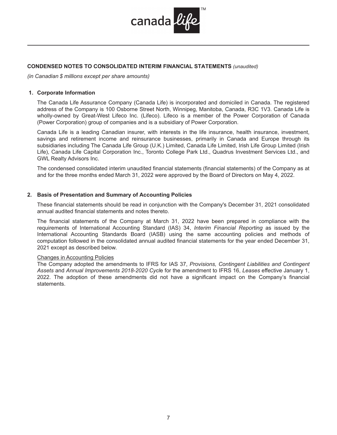

# **CONDENSED NOTES TO CONSOLIDATED INTERIM FINANCIAL STATEMENTS** *(unaudited)*

*(in Canadian \$ millions except per share amounts)* 

#### **1. Corporate Information**

The Canada Life Assurance Company (Canada Life) is incorporated and domiciled in Canada. The registered address of the Company is 100 Osborne Street North, Winnipeg, Manitoba, Canada, R3C 1V3. Canada Life is wholly-owned by Great-West Lifeco Inc. (Lifeco). Lifeco is a member of the Power Corporation of Canada (Power Corporation) group of companies and is a subsidiary of Power Corporation.

Canada Life is a leading Canadian insurer, with interests in the life insurance, health insurance, investment, savings and retirement income and reinsurance businesses, primarily in Canada and Europe through its subsidiaries including The Canada Life Group (U.K.) Limited, Canada Life Limited, Irish Life Group Limited (Irish Life), Canada Life Capital Corporation Inc., Toronto College Park Ltd., Quadrus Investment Services Ltd., and GWL Realty Advisors Inc.

The condensed consolidated interim unaudited financial statements (financial statements) of the Company as at and for the three months ended March 31, 2022 were approved by the Board of Directors on May 4, 2022.

## **2. Basis of Presentation and Summary of Accounting Policies**

These financial statements should be read in conjunction with the Company's December 31, 2021 consolidated annual audited financial statements and notes thereto.

The financial statements of the Company at March 31, 2022 have been prepared in compliance with the requirements of International Accounting Standard (IAS) 34, *Interim Financial Reporting* as issued by the International Accounting Standards Board (IASB) using the same accounting policies and methods of computation followed in the consolidated annual audited financial statements for the year ended December 31, 2021 except as described below.

#### Changes in Accounting Policies

The Company adopted the amendments to IFRS for IAS 37, *Provisions, Contingent Liabilities and Contingent Assets* and *Annual Improvements 2018-2020 Cycl*e for the amendment to IFRS 16, *Leases* effective January 1, 2022. The adoption of these amendments did not have a significant impact on the Company's financial statements.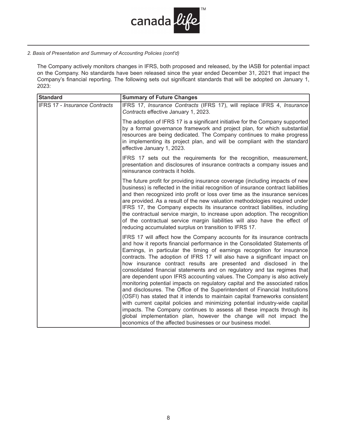

# *2. Basis of Presentation and Summary of Accounting Policies (cont'd)*

The Company actively monitors changes in IFRS, both proposed and released, by the IASB for potential impact on the Company. No standards have been released since the year ended December 31, 2021 that impact the Company's financial reporting. The following sets out significant standards that will be adopted on January 1, 2023:

| <b>Standard</b>                      | <b>Summary of Future Changes</b>                                                                                                                                                                                                                                                                                                                                                                                                                                                                                                                                                                                                                                                                                                                                                                                                                                                                                                                                                                                                                                                         |
|--------------------------------------|------------------------------------------------------------------------------------------------------------------------------------------------------------------------------------------------------------------------------------------------------------------------------------------------------------------------------------------------------------------------------------------------------------------------------------------------------------------------------------------------------------------------------------------------------------------------------------------------------------------------------------------------------------------------------------------------------------------------------------------------------------------------------------------------------------------------------------------------------------------------------------------------------------------------------------------------------------------------------------------------------------------------------------------------------------------------------------------|
| <b>IFRS 17 - Insurance Contracts</b> | IFRS 17, Insurance Contracts (IFRS 17), will replace IFRS 4, Insurance<br>Contracts effective January 1, 2023.                                                                                                                                                                                                                                                                                                                                                                                                                                                                                                                                                                                                                                                                                                                                                                                                                                                                                                                                                                           |
|                                      | The adoption of IFRS 17 is a significant initiative for the Company supported<br>by a formal governance framework and project plan, for which substantial<br>resources are being dedicated. The Company continues to make progress<br>in implementing its project plan, and will be compliant with the standard<br>effective January 1, 2023.                                                                                                                                                                                                                                                                                                                                                                                                                                                                                                                                                                                                                                                                                                                                            |
|                                      | IFRS 17 sets out the requirements for the recognition, measurement,<br>presentation and disclosures of insurance contracts a company issues and<br>reinsurance contracts it holds.                                                                                                                                                                                                                                                                                                                                                                                                                                                                                                                                                                                                                                                                                                                                                                                                                                                                                                       |
|                                      | The future profit for providing insurance coverage (including impacts of new<br>business) is reflected in the initial recognition of insurance contract liabilities<br>and then recognized into profit or loss over time as the insurance services<br>are provided. As a result of the new valuation methodologies required under<br>IFRS 17, the Company expects its insurance contract liabilities, including<br>the contractual service margin, to increase upon adoption. The recognition<br>of the contractual service margin liabilities will also have the effect of<br>reducing accumulated surplus on transition to IFRS 17.                                                                                                                                                                                                                                                                                                                                                                                                                                                    |
|                                      | IFRS 17 will affect how the Company accounts for its insurance contracts<br>and how it reports financial performance in the Consolidated Statements of<br>Earnings, in particular the timing of earnings recognition for insurance<br>contracts. The adoption of IFRS 17 will also have a significant impact on<br>how insurance contract results are presented and disclosed in the<br>consolidated financial statements and on regulatory and tax regimes that<br>are dependent upon IFRS accounting values. The Company is also actively<br>monitoring potential impacts on regulatory capital and the associated ratios<br>and disclosures. The Office of the Superintendent of Financial Institutions<br>(OSFI) has stated that it intends to maintain capital frameworks consistent<br>with current capital policies and minimizing potential industry-wide capital<br>impacts. The Company continues to assess all these impacts through its<br>global implementation plan, however the change will not impact the<br>economics of the affected businesses or our business model. |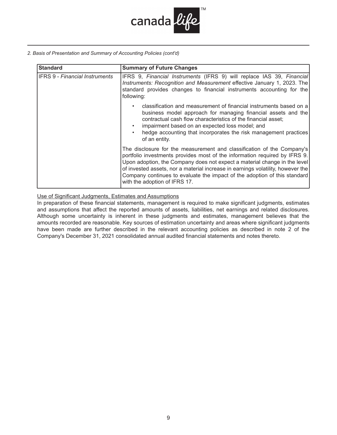

*2. Basis of Presentation and Summary of Accounting Policies (cont'd)*

| <b>Standard</b>                       | <b>Summary of Future Changes</b>                                                                                                                                                                                                                                                                                                                                                                                                   |
|---------------------------------------|------------------------------------------------------------------------------------------------------------------------------------------------------------------------------------------------------------------------------------------------------------------------------------------------------------------------------------------------------------------------------------------------------------------------------------|
| <b>IFRS 9 - Financial Instruments</b> | IFRS 9, Financial Instruments (IFRS 9) will replace IAS 39, Financial<br>Instruments: Recognition and Measurement effective January 1, 2023. The<br>standard provides changes to financial instruments accounting for the<br>following:                                                                                                                                                                                            |
|                                       | classification and measurement of financial instruments based on a<br>٠<br>business model approach for managing financial assets and the<br>contractual cash flow characteristics of the financial asset;<br>impairment based on an expected loss model; and<br>$\bullet$<br>hedge accounting that incorporates the risk management practices<br>$\bullet$<br>of an entity.                                                        |
|                                       | The disclosure for the measurement and classification of the Company's<br>portfolio investments provides most of the information required by IFRS 9.<br>Upon adoption, the Company does not expect a material change in the level<br>of invested assets, nor a material increase in earnings volatility, however the<br>Company continues to evaluate the impact of the adoption of this standard<br>with the adoption of IFRS 17. |

Use of Significant Judgments, Estimates and Assumptions

In preparation of these financial statements, management is required to make significant judgments, estimates and assumptions that affect the reported amounts of assets, liabilities, net earnings and related disclosures. Although some uncertainty is inherent in these judgments and estimates, management believes that the amounts recorded are reasonable. Key sources of estimation uncertainty and areas where significant judgments have been made are further described in the relevant accounting policies as described in note 2 of the Company's December 31, 2021 consolidated annual audited financial statements and notes thereto.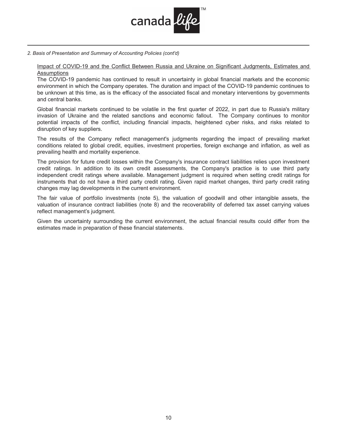

*2. Basis of Presentation and Summary of Accounting Policies (cont'd)*

Impact of COVID-19 and the Conflict Between Russia and Ukraine on Significant Judgments, Estimates and **Assumptions** 

The COVID-19 pandemic has continued to result in uncertainty in global financial markets and the economic environment in which the Company operates. The duration and impact of the COVID-19 pandemic continues to be unknown at this time, as is the efficacy of the associated fiscal and monetary interventions by governments and central banks.

Global financial markets continued to be volatile in the first quarter of 2022, in part due to Russia's military invasion of Ukraine and the related sanctions and economic fallout. The Company continues to monitor potential impacts of the conflict, including financial impacts, heightened cyber risks, and risks related to disruption of key suppliers.

The results of the Company reflect management's judgments regarding the impact of prevailing market conditions related to global credit, equities, investment properties, foreign exchange and inflation, as well as prevailing health and mortality experience.

The provision for future credit losses within the Company's insurance contract liabilities relies upon investment credit ratings. In addition to its own credit assessments, the Company's practice is to use third party independent credit ratings where available. Management judgment is required when setting credit ratings for instruments that do not have a third party credit rating. Given rapid market changes, third party credit rating changes may lag developments in the current environment.

The fair value of portfolio investments (note 5), the valuation of goodwill and other intangible assets, the valuation of insurance contract liabilities (note 8) and the recoverability of deferred tax asset carrying values reflect management's judgment.

Given the uncertainty surrounding the current environment, the actual financial results could differ from the estimates made in preparation of these financial statements.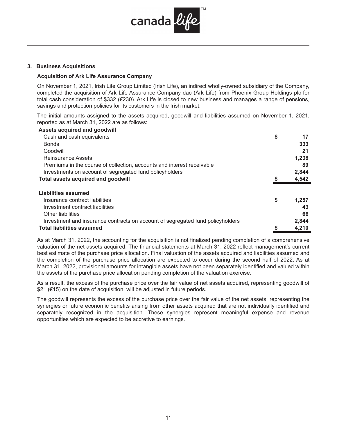

#### **3. Business Acquisitions**

#### **Acquisition of Ark Life Assurance Company**

On November 1, 2021, Irish Life Group Limited (Irish Life), an indirect wholly-owned subsidiary of the Company, completed the acquisition of Ark Life Assurance Company dac (Ark Life) from Phoenix Group Holdings plc for total cash consideration of \$332 (€230). Ark Life is closed to new business and manages a range of pensions, savings and protection policies for its customers in the Irish market.

The initial amounts assigned to the assets acquired, goodwill and liabilities assumed on November 1, 2021, reported as at March 31, 2022 are as follows:

| Assets acquired and goodwill                                                   |             |
|--------------------------------------------------------------------------------|-------------|
| Cash and cash equivalents                                                      | \$<br>17    |
| <b>Bonds</b>                                                                   | 333         |
| Goodwill                                                                       | 21          |
| Reinsurance Assets                                                             | 1,238       |
| Premiums in the course of collection, accounts and interest receivable         | 89          |
| Investments on account of segregated fund policyholders                        | 2,844       |
| Total assets acquired and goodwill                                             | 4,542       |
| Liabilities assumed                                                            |             |
| Insurance contract liabilities                                                 | \$<br>1,257 |
| Investment contract liabilities                                                | 43          |
| Other liabilities                                                              | 66          |
| Investment and insurance contracts on account of segregated fund policyholders | 2,844       |
| <b>Total liabilities assumed</b>                                               | 4,210       |

As at March 31, 2022, the accounting for the acquisition is not finalized pending completion of a comprehensive valuation of the net assets acquired. The financial statements at March 31, 2022 reflect management's current best estimate of the purchase price allocation. Final valuation of the assets acquired and liabilities assumed and the completion of the purchase price allocation are expected to occur during the second half of 2022. As at March 31, 2022, provisional amounts for intangible assets have not been separately identified and valued within the assets of the purchase price allocation pending completion of the valuation exercise.

As a result, the excess of the purchase price over the fair value of net assets acquired, representing goodwill of \$21 (€15) on the date of acquisition, will be adjusted in future periods.

The goodwill represents the excess of the purchase price over the fair value of the net assets, representing the synergies or future economic benefits arising from other assets acquired that are not individually identified and separately recognized in the acquisition. These synergies represent meaningful expense and revenue opportunities which are expected to be accretive to earnings.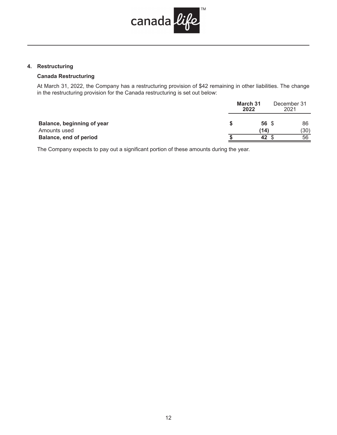

# **4. Restructuring**

# **Canada Restructuring**

At March 31, 2022, the Company has a restructuring provision of \$42 remaining in other liabilities. The change in the restructuring provision for the Canada restructuring is set out below:

|                               | March 31<br>2022 | December 31<br>2021 |
|-------------------------------|------------------|---------------------|
| Balance, beginning of year    | 56 \$            | 86                  |
| Amounts used                  | (14)             | (30)                |
| <b>Balance, end of period</b> | 42               | 56                  |

The Company expects to pay out a significant portion of these amounts during the year.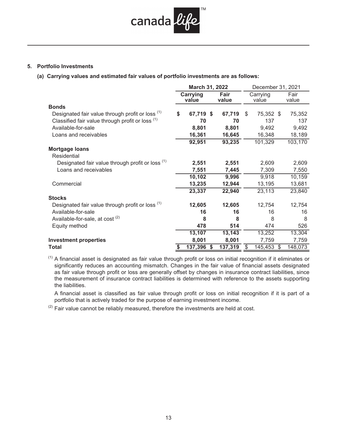

## **5. Portfolio Investments**

**(a) Carrying values and estimated fair values of portfolio investments are as follows:** 

|                                                  | March 31, 2022<br>December 31, 2021 |            |         |    |                   |    |               |
|--------------------------------------------------|-------------------------------------|------------|---------|----|-------------------|----|---------------|
|                                                  | Carrying<br>Fair<br>value<br>value  |            |         |    | Carrying<br>value |    | Fair<br>value |
| <b>Bonds</b>                                     |                                     |            |         |    |                   |    |               |
| Designated fair value through profit or loss (1) | \$                                  | 67,719 \$  | 67,719  | \$ | 75,352 \$         |    | 75,352        |
| Classified fair value through profit or loss (1) |                                     | 70         | 70      |    | 137               |    | 137           |
| Available-for-sale                               |                                     | 8,801      | 8,801   |    | 9,492             |    | 9,492         |
| Loans and receivables                            |                                     | 16,361     | 16,645  |    | 16,348            |    | 18,189        |
|                                                  |                                     | 92,951     | 93,235  |    | 101,329           |    | 103,170       |
| <b>Mortgage loans</b>                            |                                     |            |         |    |                   |    |               |
| Residential                                      |                                     |            |         |    |                   |    |               |
| Designated fair value through profit or loss (1) |                                     | 2,551      | 2,551   |    | 2,609             |    | 2,609         |
| Loans and receivables                            |                                     | 7,551      | 7,445   |    | 7,309             |    | 7,550         |
|                                                  |                                     | 10,102     | 9,996   |    | 9,918             |    | 10,159        |
| Commercial                                       |                                     | 13,235     | 12,944  |    | 13,195            |    | 13,681        |
|                                                  |                                     | 23,337     | 22,940  |    | 23,113            |    | 23,840        |
| <b>Stocks</b>                                    |                                     |            |         |    |                   |    |               |
| Designated fair value through profit or loss (1) |                                     | 12,605     | 12,605  |    | 12,754            |    | 12,754        |
| Available-for-sale                               |                                     | 16         | 16      |    | 16                |    | 16            |
| Available-for-sale, at cost <sup>(2)</sup>       |                                     | 8          | 8       |    | 8                 |    | 8             |
| Equity method                                    |                                     | 478        | 514     |    | 474               |    | 526           |
|                                                  |                                     | 13,107     | 13,143  |    | 13,252            |    | 13,304        |
| <b>Investment properties</b>                     |                                     | 8,001      | 8,001   |    | 7,759             |    | 7,759         |
| Total                                            | \$                                  | 137,396 \$ | 137,319 | \$ | 145,453           | \$ | 148,073       |

 $(1)$  A financial asset is designated as fair value through profit or loss on initial recognition if it eliminates or significantly reduces an accounting mismatch. Changes in the fair value of financial assets designated as fair value through profit or loss are generally offset by changes in insurance contract liabilities, since the measurement of insurance contract liabilities is determined with reference to the assets supporting the liabilities.

A financial asset is classified as fair value through profit or loss on initial recognition if it is part of a portfolio that is actively traded for the purpose of earning investment income.

 $(2)$  Fair value cannot be reliably measured, therefore the investments are held at cost.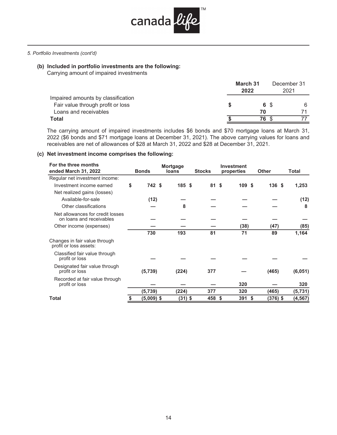

#### *5. Portfolio Investments (cont'd)*

# **(b) Included in portfolio investments are the following:**

Carrying amount of impaired investments

|                                    | March 31<br>2022 | December 31<br>2021 |
|------------------------------------|------------------|---------------------|
| Impaired amounts by classification |                  |                     |
| Fair value through profit or loss  | 6 S              | 6                   |
| Loans and receivables              | 70               |                     |
| Total                              | 76               |                     |

The carrying amount of impaired investments includes \$6 bonds and \$70 mortgage loans at March 31, 2022 (\$6 bonds and \$71 mortgage loans at December 31, 2021). The above carrying values for loans and receivables are net of allowances of \$28 at March 31, 2022 and \$28 at December 31, 2021.

# **(c) Net investment income comprises the following:**

| For the three months                                         |              | <b>Mortgage</b> |               | <b>Investment</b> |              |          |
|--------------------------------------------------------------|--------------|-----------------|---------------|-------------------|--------------|----------|
| ended March 31, 2022                                         | <b>Bonds</b> | loans           | <b>Stocks</b> | properties        | <b>Other</b> | Total    |
| Regular net investment income:                               |              |                 |               |                   |              |          |
| Investment income earned                                     | \$<br>742 \$ | 185S            | 81S           | 109 \$            | 136S         | 1,253    |
| Net realized gains (losses)                                  |              |                 |               |                   |              |          |
| Available-for-sale                                           | (12)         |                 |               |                   |              | (12)     |
| Other classifications                                        |              | 8               |               |                   |              | 8        |
| Net allowances for credit losses<br>on loans and receivables |              |                 |               |                   |              |          |
| Other income (expenses)                                      |              |                 |               | (38)              | (47)         | (85)     |
|                                                              | 730          | 193             | 81            | 71                | 89           | 1,164    |
| Changes in fair value through<br>profit or loss assets:      |              |                 |               |                   |              |          |
| Classified fair value through<br>profit or loss              |              |                 |               |                   |              |          |
| Designated fair value through<br>profit or loss              | (5,739)      | (224)           | 377           |                   | (465)        | (6,051)  |
| Recorded at fair value through<br>profit or loss             |              |                 |               | 320               |              | 320      |
|                                                              | (5,739)      | (224)           | 377           | 320               | (465)        | (5, 731) |
| Total                                                        | $(5,009)$ \$ | (31) \$         | 458           | \$<br>391<br>\$   | (376) \$     | (4, 567) |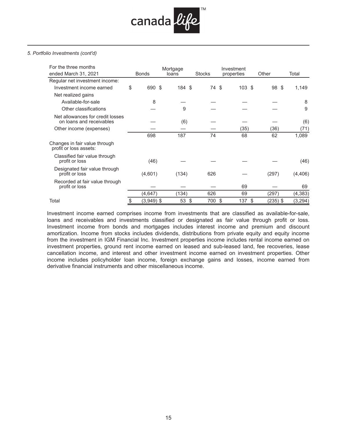

#### *5. Portfolio Investments (cont'd)*

| For the three months                                         |                    | Mortgage |               | Investment      |            |          |
|--------------------------------------------------------------|--------------------|----------|---------------|-----------------|------------|----------|
| ended March 31, 2021                                         | <b>Bonds</b>       | loans    | <b>Stocks</b> | properties      | Other      | Total    |
| Regular net investment income:                               |                    |          |               |                 |            |          |
| Investment income earned                                     | \$<br>690 \$       | 184 \$   | 74 \$         | 103S            | 98<br>- \$ | 1,149    |
| Net realized gains                                           |                    |          |               |                 |            |          |
| Available-for-sale                                           | 8                  |          |               |                 |            | 8        |
| Other classifications                                        |                    | 9        |               |                 |            | 9        |
| Net allowances for credit losses<br>on loans and receivables |                    | (6)      |               |                 |            | (6)      |
| Other income (expenses)                                      |                    |          |               | (35)            | (36)       | (71)     |
|                                                              | 698                | 187      | 74            | 68              | 62         | 1,089    |
| Changes in fair value through<br>profit or loss assets:      |                    |          |               |                 |            |          |
| Classified fair value through<br>profit or loss              | (46)               |          |               |                 |            | (46)     |
| Designated fair value through<br>profit or loss              | (4,601)            | (134)    | 626           |                 | (297)      | (4, 406) |
| Recorded at fair value through<br>profit or loss             |                    |          |               | 69              |            | 69       |
|                                                              | (4, 647)           | (134)    | 626           | 69              | (297)      | (4, 383) |
| Total                                                        | \$<br>$(3,949)$ \$ | 53<br>\$ | 700           | \$<br>137<br>\$ | (235) \$   | (3, 294) |

Investment income earned comprises income from investments that are classified as available-for-sale, loans and receivables and investments classified or designated as fair value through profit or loss. Investment income from bonds and mortgages includes interest income and premium and discount amortization. Income from stocks includes dividends, distributions from private equity and equity income from the investment in IGM Financial Inc. Investment properties income includes rental income earned on investment properties, ground rent income earned on leased and sub-leased land, fee recoveries, lease cancellation income, and interest and other investment income earned on investment properties. Other income includes policyholder loan income, foreign exchange gains and losses, income earned from derivative financial instruments and other miscellaneous income.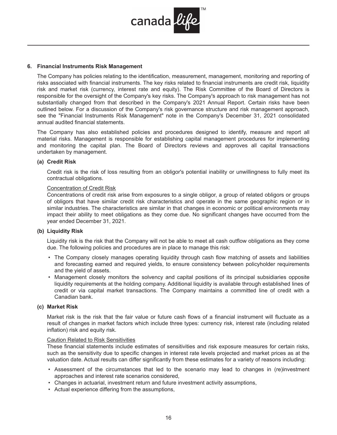

#### **6. Financial Instruments Risk Management**

The Company has policies relating to the identification, measurement, management, monitoring and reporting of risks associated with financial instruments. The key risks related to financial instruments are credit risk, liquidity risk and market risk (currency, interest rate and equity). The Risk Committee of the Board of Directors is responsible for the oversight of the Company's key risks. The Company's approach to risk management has not substantially changed from that described in the Company's 2021 Annual Report. Certain risks have been outlined below. For a discussion of the Company's risk governance structure and risk management approach, see the "Financial Instruments Risk Management" note in the Company's December 31, 2021 consolidated annual audited financial statements.

The Company has also established policies and procedures designed to identify, measure and report all material risks. Management is responsible for establishing capital management procedures for implementing and monitoring the capital plan. The Board of Directors reviews and approves all capital transactions undertaken by management.

#### **(a) Credit Risk**

Credit risk is the risk of loss resulting from an obligor's potential inability or unwillingness to fully meet its contractual obligations.

#### Concentration of Credit Risk

Concentrations of credit risk arise from exposures to a single obligor, a group of related obligors or groups of obligors that have similar credit risk characteristics and operate in the same geographic region or in similar industries. The characteristics are similar in that changes in economic or political environments may impact their ability to meet obligations as they come due. No significant changes have occurred from the year ended December 31, 2021.

#### **(b) Liquidity Risk**

Liquidity risk is the risk that the Company will not be able to meet all cash outflow obligations as they come due. The following policies and procedures are in place to manage this risk:

- The Company closely manages operating liquidity through cash flow matching of assets and liabilities and forecasting earned and required yields, to ensure consistency between policyholder requirements and the yield of assets.
- Management closely monitors the solvency and capital positions of its principal subsidiaries opposite liquidity requirements at the holding company. Additional liquidity is available through established lines of credit or via capital market transactions. The Company maintains a committed line of credit with a Canadian bank.

# **(c) Market Risk**

Market risk is the risk that the fair value or future cash flows of a financial instrument will fluctuate as a result of changes in market factors which include three types: currency risk, interest rate (including related inflation) risk and equity risk.

#### Caution Related to Risk Sensitivities

These financial statements include estimates of sensitivities and risk exposure measures for certain risks, such as the sensitivity due to specific changes in interest rate levels projected and market prices as at the valuation date. Actual results can differ significantly from these estimates for a variety of reasons including:

- Assessment of the circumstances that led to the scenario may lead to changes in (re)investment approaches and interest rate scenarios considered,
- Changes in actuarial, investment return and future investment activity assumptions,
- Actual experience differing from the assumptions,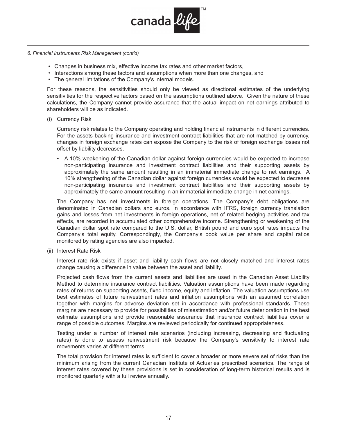

- *6. Financial Instruments Risk Management (cont'd)*
	- Changes in business mix, effective income tax rates and other market factors,
	- Interactions among these factors and assumptions when more than one changes, and
	- The general limitations of the Company's internal models.

For these reasons, the sensitivities should only be viewed as directional estimates of the underlying sensitivities for the respective factors based on the assumptions outlined above. Given the nature of these calculations, the Company cannot provide assurance that the actual impact on net earnings attributed to shareholders will be as indicated.

(i) Currency Risk

Currency risk relates to the Company operating and holding financial instruments in different currencies. For the assets backing insurance and investment contract liabilities that are not matched by currency, changes in foreign exchange rates can expose the Company to the risk of foreign exchange losses not offset by liability decreases.

A 10% weakening of the Canadian dollar against foreign currencies would be expected to increase •non-participating insurance and investment contract liabilities and their supporting assets by approximately the same amount resulting in an immaterial immediate change to net earnings. A 10% strengthening of the Canadian dollar against foreign currencies would be expected to decrease non-participating insurance and investment contract liabilities and their supporting assets by approximately the same amount resulting in an immaterial immediate change in net earnings.

The Company has net investments in foreign operations. The Company's debt obligations are denominated in Canadian dollars and euros. In accordance with IFRS, foreign currency translation gains and losses from net investments in foreign operations, net of related hedging activities and tax effects, are recorded in accumulated other comprehensive income. Strengthening or weakening of the Canadian dollar spot rate compared to the U.S. dollar, British pound and euro spot rates impacts the Company's total equity. Correspondingly, the Company's book value per share and capital ratios monitored by rating agencies are also impacted.

(ii) Interest Rate Risk

Interest rate risk exists if asset and liability cash flows are not closely matched and interest rates change causing a difference in value between the asset and liability.

Projected cash flows from the current assets and liabilities are used in the Canadian Asset Liability Method to determine insurance contract liabilities. Valuation assumptions have been made regarding rates of returns on supporting assets, fixed income, equity and inflation. The valuation assumptions use best estimates of future reinvestment rates and inflation assumptions with an assumed correlation together with margins for adverse deviation set in accordance with professional standards. These margins are necessary to provide for possibilities of misestimation and/or future deterioration in the best estimate assumptions and provide reasonable assurance that insurance contract liabilities cover a range of possible outcomes. Margins are reviewed periodically for continued appropriateness.

Testing under a number of interest rate scenarios (including increasing, decreasing and fluctuating rates) is done to assess reinvestment risk because the Company's sensitivity to interest rate movements varies at different terms.

The total provision for interest rates is sufficient to cover a broader or more severe set of risks than the minimum arising from the current Canadian Institute of Actuaries prescribed scenarios. The range of interest rates covered by these provisions is set in consideration of long-term historical results and is monitored quarterly with a full review annually.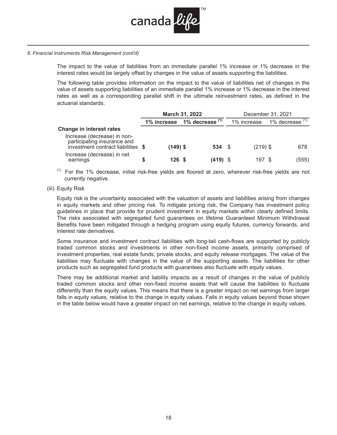

*6. Financial Instruments Risk Management (cont'd)*

The impact to the value of liabilities from an immediate parallel 1% increase or 1% decrease in the interest rates would be largely offset by changes in the value of assets supporting the liabilities.

The following table provides information on the impact to the value of liabilities net of changes in the value of assets supporting liabilities of an immediate parallel 1% increase or 1% decrease in the interest rates as well as a corresponding parallel shift in the ultimate reinvestment rates, as defined in the actuarial standards.

|                                                                                                 | <b>March 31, 2022</b> |                             | December 31, 2021 |                   |  |  |
|-------------------------------------------------------------------------------------------------|-----------------------|-----------------------------|-------------------|-------------------|--|--|
|                                                                                                 |                       | 1% increase 1% decrease (1) | 1% increase       | 1% decrease $(1)$ |  |  |
| <b>Change in interest rates</b><br>Increase (decrease) in non-                                  |                       |                             |                   |                   |  |  |
| participating insurance and<br>investment contract liabilities \$<br>Increase (decrease) in net | $(149)$ \$            | 534 \$                      | $(219)$ \$        | 678               |  |  |
| earnings                                                                                        | 126S                  | $(419)$ \$                  | 197 \$            | (555)             |  |  |

- $(1)$  For the 1% decrease, initial risk-free yields are floored at zero, wherever risk-free yields are not currently negative.
- (iii) Equity Risk

Equity risk is the uncertainty associated with the valuation of assets and liabilities arising from changes in equity markets and other pricing risk. To mitigate pricing risk, the Company has investment policy guidelines in place that provide for prudent investment in equity markets within clearly defined limits. The risks associated with segregated fund guarantees on lifetime Guaranteed Minimum Withdrawal Benefits have been mitigated through a hedging program using equity futures, currency forwards, and interest rate derivatives.

Some insurance and investment contract liabilities with long-tail cash-flows are supported by publicly traded common stocks and investments in other non-fixed income assets, primarily comprised of investment properties, real estate funds, private stocks, and equity release mortgages. The value of the liabilities may fluctuate with changes in the value of the supporting assets. The liabilities for other products such as segregated fund products with guarantees also fluctuate with equity values.

There may be additional market and liability impacts as a result of changes in the value of publicly traded common stocks and other non-fixed income assets that will cause the liabilities to fluctuate differently than the equity values. This means that there is a greater impact on net earnings from larger falls in equity values, relative to the change in equity values. Falls in equity values beyond those shown in the table below would have a greater impact on net earnings, relative to the change in equity values.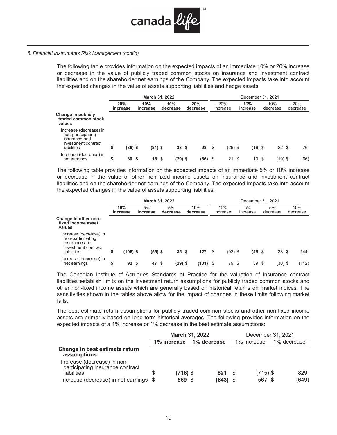

#### *6. Financial Instruments Risk Management (cont'd)*

The following table provides information on the expected impacts of an immediate 10% or 20% increase or decrease in the value of publicly traded common stocks on insurance and investment contract liabilities and on the shareholder net earnings of the Company. The expected impacts take into account the expected changes in the value of assets supporting liabilities and hedge assets.

|                                                                                                    | March 31, 2022  |         |                 |                 |                 |  |                 |      | December 31, 2021 |     |                 |  |                 |  |                 |  |  |  |  |
|----------------------------------------------------------------------------------------------------|-----------------|---------|-----------------|-----------------|-----------------|--|-----------------|------|-------------------|-----|-----------------|--|-----------------|--|-----------------|--|--|--|--|
|                                                                                                    | 20%<br>increase |         | 10%<br>increase |                 | 10%<br>decrease |  | 20%<br>decrease |      | 20%<br>increase   |     | 10%<br>increase |  | 10%<br>decrease |  | 20%<br>decrease |  |  |  |  |
| Change in publicly<br>traded common stock<br>values                                                |                 |         |                 |                 |                 |  |                 |      |                   |     |                 |  |                 |  |                 |  |  |  |  |
| Increase (decrease) in<br>non-participating<br>insurance and<br>investment contract<br>liabilities | \$              | (36) \$ |                 | $(21)$ \$       | $33 \;$ \$      |  | 98              | - \$ | $(26)$ \$         |     | $(16)$ \$       |  | $22 \text{ } $$ |  | 76              |  |  |  |  |
| Increase (decrease) in<br>net earnings                                                             | \$              | 30      | - \$            | 18 <sup>5</sup> | (29) \$         |  | (86)            | \$   | 21                | -\$ | 13S             |  | $(19)$ \$       |  | (66)            |  |  |  |  |

The following table provides information on the expected impacts of an immediate 5% or 10% increase or decrease in the value of other non-fixed income assets on insurance and investment contract liabilities and on the shareholder net earnings of the Company. The expected impacts take into account the expected changes in the value of assets supporting liabilities.

|                                                                                                    |                 | March 31, 2022 |  |                |    |                |  |                 | December 31, 2021 |                 |     |                |  |                 |  |                 |  |  |
|----------------------------------------------------------------------------------------------------|-----------------|----------------|--|----------------|----|----------------|--|-----------------|-------------------|-----------------|-----|----------------|--|-----------------|--|-----------------|--|--|
|                                                                                                    | 10%<br>increase |                |  | 5%<br>increase |    | 5%<br>decrease |  | 10%<br>decrease |                   | 10%<br>increase |     | 5%<br>increase |  | 5%<br>decrease  |  | 10%<br>decrease |  |  |
| Change in other non-<br>fixed income asset<br>values                                               |                 |                |  |                |    |                |  |                 |                   |                 |     |                |  |                 |  |                 |  |  |
| Increase (decrease) in<br>non-participating<br>insurance and<br>investment contract<br>liabilities | \$              | $(106)$ \$     |  | $(55)$ \$      |    | 35S            |  | 127             | - \$              | $(92)$ \$       |     | $(46)$ \$      |  | 38 <sup>°</sup> |  | 144             |  |  |
| Increase (decrease) in<br>net earnings                                                             | \$              | 92S            |  | 47             | \$ | $(29)$ \$      |  | $(101)$ \$      |                   | 79              | -\$ | 39S            |  | $(30)$ \$       |  | (112)           |  |  |

The Canadian Institute of Actuaries Standards of Practice for the valuation of insurance contract liabilities establish limits on the investment return assumptions for publicly traded common stocks and other non-fixed income assets which are generally based on historical returns on market indices. The sensitivities shown in the tables above allow for the impact of changes in these limits following market falls.

The best estimate return assumptions for publicly traded common stocks and other non-fixed income assets are primarily based on long-term historical averages. The following provides information on the expected impacts of a 1% increase or 1% decrease in the best estimate assumptions:

|                                                                 | <b>March 31, 2022</b> |             |  |             |  |             | December 31, 2021 |             |  |
|-----------------------------------------------------------------|-----------------------|-------------|--|-------------|--|-------------|-------------------|-------------|--|
|                                                                 |                       | 1% increase |  | 1% decrease |  | 1% increase |                   | 1% decrease |  |
| Change in best estimate return<br>assumptions                   |                       |             |  |             |  |             |                   |             |  |
| Increase (decrease) in non-<br>participating insurance contract |                       |             |  |             |  |             |                   |             |  |
| liabilities                                                     | S                     | $(716)$ \$  |  | 821 \$      |  | $(715)$ \$  |                   | 829         |  |
| Increase (decrease) in net earnings \$                          |                       | 569 \$      |  | $(643)$ \$  |  | 567 \$      |                   | (649)       |  |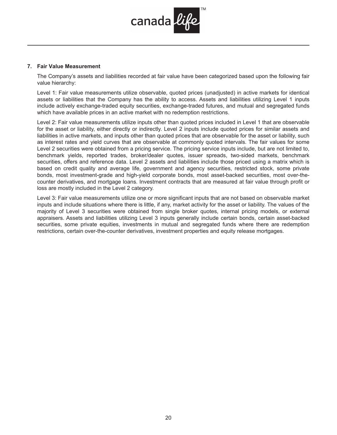

#### **7. Fair Value Measurement**

The Company's assets and liabilities recorded at fair value have been categorized based upon the following fair value hierarchy:

Level 1: Fair value measurements utilize observable, quoted prices (unadjusted) in active markets for identical assets or liabilities that the Company has the ability to access. Assets and liabilities utilizing Level 1 inputs include actively exchange-traded equity securities, exchange-traded futures, and mutual and segregated funds which have available prices in an active market with no redemption restrictions.

Level 2: Fair value measurements utilize inputs other than quoted prices included in Level 1 that are observable for the asset or liability, either directly or indirectly. Level 2 inputs include quoted prices for similar assets and liabilities in active markets, and inputs other than quoted prices that are observable for the asset or liability, such as interest rates and yield curves that are observable at commonly quoted intervals. The fair values for some Level 2 securities were obtained from a pricing service. The pricing service inputs include, but are not limited to, benchmark yields, reported trades, broker/dealer quotes, issuer spreads, two-sided markets, benchmark securities, offers and reference data. Level 2 assets and liabilities include those priced using a matrix which is based on credit quality and average life, government and agency securities, restricted stock, some private bonds, most investment-grade and high-yield corporate bonds, most asset-backed securities, most over-thecounter derivatives, and mortgage loans. Investment contracts that are measured at fair value through profit or loss are mostly included in the Level 2 category.

Level 3: Fair value measurements utilize one or more significant inputs that are not based on observable market inputs and include situations where there is little, if any, market activity for the asset or liability. The values of the majority of Level 3 securities were obtained from single broker quotes, internal pricing models, or external appraisers. Assets and liabilities utilizing Level 3 inputs generally include certain bonds, certain asset-backed securities, some private equities, investments in mutual and segregated funds where there are redemption restrictions, certain over-the-counter derivatives, investment properties and equity release mortgages.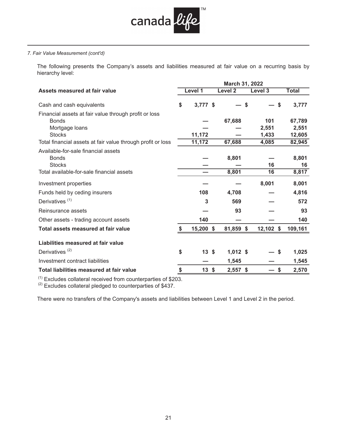

The following presents the Company's assets and liabilities measured at fair value on a recurring basis by hierarchy level:

|                                                             | March 31, 2022 |             |  |                |             |              |  |
|-------------------------------------------------------------|----------------|-------------|--|----------------|-------------|--------------|--|
| Assets measured at fair value                               |                | Level 1     |  | <b>Level 2</b> | Level 3     | <b>Total</b> |  |
| Cash and cash equivalents                                   | \$             | $3,777$ \$  |  | S              | \$          | 3,777        |  |
| Financial assets at fair value through profit or loss       |                |             |  |                |             |              |  |
| <b>Bonds</b>                                                |                |             |  | 67,688         | 101         | 67,789       |  |
| Mortgage loans                                              |                |             |  |                | 2,551       | 2,551        |  |
| <b>Stocks</b>                                               |                | 11,172      |  |                | 1,433       | 12,605       |  |
| Total financial assets at fair value through profit or loss |                | 11,172      |  | 67,688         | 4,085       | 82,945       |  |
| Available-for-sale financial assets                         |                |             |  |                |             |              |  |
| <b>Bonds</b>                                                |                |             |  | 8,801          |             | 8,801        |  |
| <b>Stocks</b>                                               |                |             |  |                | 16          | 16           |  |
| Total available-for-sale financial assets                   |                |             |  | 8,801          | 16          | 8,817        |  |
| Investment properties                                       |                |             |  |                | 8,001       | 8,001        |  |
| Funds held by ceding insurers                               |                | 108         |  | 4,708          |             | 4,816        |  |
| Derivatives <sup>(1)</sup>                                  |                | 3           |  | 569            |             | 572          |  |
| Reinsurance assets                                          |                |             |  | 93             |             | 93           |  |
| Other assets - trading account assets                       |                | 140         |  |                |             | 140          |  |
| Total assets measured at fair value                         |                | $15,200$ \$ |  | 81,859 \$      | $12,102$ \$ | 109,161      |  |
| Liabilities measured at fair value                          |                |             |  |                |             |              |  |
| Derivatives <sup>(2)</sup>                                  | \$             | 13S         |  | $1,012$ \$     | \$          | 1,025        |  |
| Investment contract liabilities                             |                |             |  | 1,545          |             | 1,545        |  |
| Total liabilities measured at fair value                    | \$             | $13 \;$ \$  |  | $2,557$ \$     | \$          | 2,570        |  |

 $<sup>(1)</sup>$  Excludes collateral received from counterparties of \$203.</sup>

 $<sup>(2)</sup>$  Excludes collateral pledged to counterparties of \$437.</sup>

There were no transfers of the Company's assets and liabilities between Level 1 and Level 2 in the period.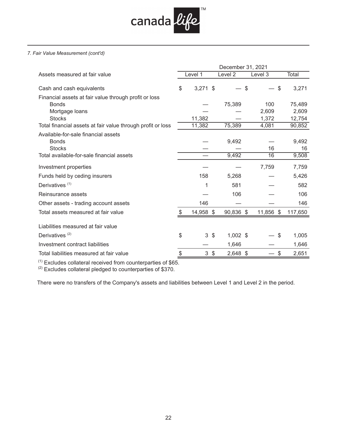

| Total<br>3,271 |
|----------------|
|                |
|                |
| 75,489         |
| 2,609          |
| 12,754         |
| 90,852         |
| 9,492          |
| 16             |
| 9,508          |
| 7,759          |
| 5,426          |
| 582            |
| 106            |
| 146            |
| 117,650        |
|                |
| 1,005          |
| 1,646          |
| 2,651          |
|                |

 $<sup>(1)</sup>$  Excludes collateral received from counterparties of \$65.</sup>

 $<sup>(2)</sup>$  Excludes collateral pledged to counterparties of \$370.</sup>

There were no transfers of the Company's assets and liabilities between Level 1 and Level 2 in the period.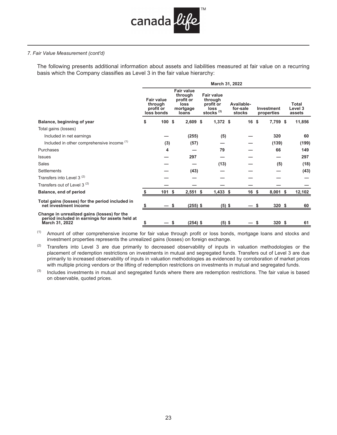

The following presents additional information about assets and liabilities measured at fair value on a recurring basis which the Company classifies as Level 3 in the fair value hierarchy:

|                                                                                                                 | March 31, 2022 |                                                         |                                                                        |            |                                                                            |                                  |                 |                          |  |                            |  |
|-----------------------------------------------------------------------------------------------------------------|----------------|---------------------------------------------------------|------------------------------------------------------------------------|------------|----------------------------------------------------------------------------|----------------------------------|-----------------|--------------------------|--|----------------------------|--|
|                                                                                                                 |                | <b>Fair value</b><br>through<br>profit or<br>loss bonds | <b>Fair value</b><br>through<br>profit or<br>loss<br>mortgage<br>loans |            | <b>Fair value</b><br>through<br>profit or<br>loss<br>stocks <sup>(3)</sup> | Available-<br>for-sale<br>stocks |                 | Investment<br>properties |  | Total<br>Level 3<br>assets |  |
| Balance, beginning of year                                                                                      | \$             | 100                                                     | $2,609$ \$<br>Ŝ.                                                       |            | $1,372$ \$                                                                 |                                  | 16 <sup>5</sup> | 7,759 \$                 |  | 11,856                     |  |
| Total gains (losses)                                                                                            |                |                                                         |                                                                        |            |                                                                            |                                  |                 |                          |  |                            |  |
| Included in net earnings                                                                                        |                |                                                         | (255)                                                                  |            | (5)                                                                        |                                  |                 | 320                      |  | 60                         |  |
| Included in other comprehensive income (1)                                                                      |                | (3)                                                     | (57)                                                                   |            |                                                                            |                                  |                 | (139)                    |  | (199)                      |  |
| Purchases                                                                                                       |                | 4                                                       |                                                                        |            | 79                                                                         |                                  |                 | 66                       |  | 149                        |  |
| <b>Issues</b>                                                                                                   |                |                                                         | 297                                                                    |            |                                                                            |                                  |                 |                          |  | 297                        |  |
| Sales                                                                                                           |                |                                                         |                                                                        |            | (13)                                                                       |                                  |                 | (5)                      |  | (18)                       |  |
| Settlements                                                                                                     |                |                                                         | (43)                                                                   |            |                                                                            |                                  |                 |                          |  | (43)                       |  |
| Transfers into Level 3 <sup>(2)</sup>                                                                           |                |                                                         |                                                                        |            |                                                                            |                                  |                 |                          |  |                            |  |
| Transfers out of Level 3 <sup>(2)</sup>                                                                         |                |                                                         |                                                                        |            |                                                                            |                                  |                 |                          |  |                            |  |
| Balance, end of period                                                                                          |                | 101                                                     | $2,551$ \$<br>-\$                                                      |            | $1,433$ \$                                                                 |                                  | 16 \$           | $8,001$ \$               |  | 12,102                     |  |
| Total gains (losses) for the period included in<br>net investment income                                        |                |                                                         |                                                                        | (255) \$   | $(5)$ \$                                                                   |                                  |                 | 320 <sup>5</sup>         |  | 60                         |  |
| Change in unrealized gains (losses) for the<br>period included in earnings for assets held at<br>March 31, 2022 | \$             |                                                         |                                                                        | $(254)$ \$ | $(5)$ \$                                                                   |                                  |                 | 320 <sup>5</sup><br>S    |  | 61                         |  |

 $(1)$  Amount of other comprehensive income for fair value through profit or loss bonds, mortgage loans and stocks and investment properties represents the unrealized gains (losses) on foreign exchange.

 $(2)$  Transfers into Level 3 are due primarily to decreased observability of inputs in valuation methodologies or the placement of redemption restrictions on investments in mutual and segregated funds. Transfers out of Level 3 are due primarily to increased observability of inputs in valuation methodologies as evidenced by corroboration of market prices with multiple pricing vendors or the lifting of redemption restrictions on investments in mutual and segregated funds.

 $(3)$  Includes investments in mutual and segregated funds where there are redemption restrictions. The fair value is based on observable, quoted prices.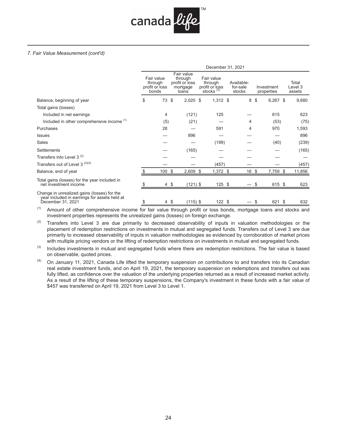

|                                                                                                                  | December 31, 2021 |                                                  |      |                                                              |  |                                                         |  |                                  |  |                          |  |                            |
|------------------------------------------------------------------------------------------------------------------|-------------------|--------------------------------------------------|------|--------------------------------------------------------------|--|---------------------------------------------------------|--|----------------------------------|--|--------------------------|--|----------------------------|
|                                                                                                                  |                   | Fair value<br>through<br>profit or loss<br>bonds |      | Fair value<br>through<br>profit or loss<br>mortgage<br>loans |  | Fair value<br>through<br>profit or loss<br>stocks $(3)$ |  | Available-<br>for-sale<br>stocks |  | Investment<br>properties |  | Total<br>Level 3<br>assets |
| Balance, beginning of year                                                                                       | \$                | 73                                               | \$   | $2,020$ \$                                                   |  | $1,312$ \$                                              |  | 8                                |  | \$<br>$6,267$ \$         |  | 9,680                      |
| Total gains (losses)                                                                                             |                   |                                                  |      |                                                              |  |                                                         |  |                                  |  |                          |  |                            |
| Included in net earnings                                                                                         |                   | 4                                                |      | (121)                                                        |  | 125                                                     |  |                                  |  | 615                      |  | 623                        |
| Included in other comprehensive income (1)                                                                       |                   | (5)                                              |      | (21)                                                         |  |                                                         |  | 4                                |  | (53)                     |  | (75)                       |
| Purchases                                                                                                        |                   | 28                                               |      |                                                              |  | 591                                                     |  | 4                                |  | 970                      |  | 1,593                      |
| <b>Issues</b>                                                                                                    |                   |                                                  |      | 896                                                          |  |                                                         |  |                                  |  |                          |  | 896                        |
| Sales                                                                                                            |                   |                                                  |      |                                                              |  | (199)                                                   |  |                                  |  | (40)                     |  | (239)                      |
| Settlements                                                                                                      |                   |                                                  |      | (165)                                                        |  |                                                         |  |                                  |  |                          |  | (165)                      |
| Transfers into Level 3 <sup>(2)</sup>                                                                            |                   |                                                  |      |                                                              |  |                                                         |  |                                  |  |                          |  |                            |
| Transfers out of Level 3 <sup>(2)(4)</sup>                                                                       |                   |                                                  |      |                                                              |  | (457)                                                   |  |                                  |  |                          |  | (457)                      |
| Balance, end of year                                                                                             |                   | 100                                              | \$   | $2,609$ \$                                                   |  | $1,372$ \$                                              |  | 16 \$                            |  | 7,759 \$                 |  | 11,856                     |
| Total gains (losses) for the year included in<br>net investment income                                           |                   | 4 \$                                             |      | $(121)$ \$                                                   |  | $125$ \$                                                |  |                                  |  | 615 \$                   |  | 623                        |
| Change in unrealized gains (losses) for the<br>year included in earnings for assets held at<br>December 31, 2021 |                   |                                                  | 4 \$ | $(115)$ \$                                                   |  | 122S                                                    |  |                                  |  | 621 \$<br>S              |  | 632                        |

<sup>(1)</sup> Amount of other comprehensive income for fair value through profit or loss bonds, mortgage loans and stocks and investment properties represents the unrealized gains (losses) on foreign exchange.

(2) Transfers into Level 3 are due primarily to decreased observability of inputs in valuation methodologies or the placement of redemption restrictions on investments in mutual and segregated funds. Transfers out of Level 3 are due primarily to increased observability of inputs in valuation methodologies as evidenced by corroboration of market prices with multiple pricing vendors or the lifting of redemption restrictions on investments in mutual and segregated funds.

 $(3)$  Includes investments in mutual and segregated funds where there are redemption restrictions. The fair value is based on observable, quoted prices.

 $(4)$  On January 11, 2021, Canada Life lifted the temporary suspension on contributions to and transfers into its Canadian real estate investment funds, and on April 19, 2021, the temporary suspension on redemptions and transfers out was fully lifted, as confidence over the valuation of the underlying properties returned as a result of increased market activity. As a result of the lifting of these temporary suspensions, the Company's investment in these funds with a fair value of \$457 was transferred on April 19, 2021 from Level 3 to Level 1.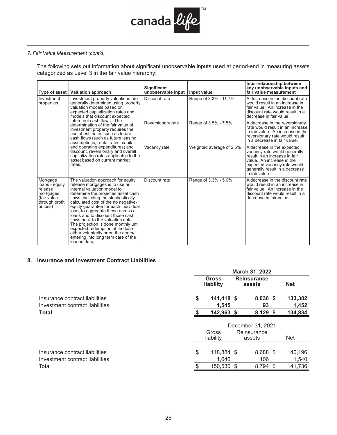

The following sets out information about significant unobservable inputs used at period-end in measuring assets categorized as Level 3 in the fair value hierarchy:

|                                                                                                 | Type of asset   Valuation approach                                                                                                                                                                                                                                                                                                                                                                                                                                                                                                                      | <b>Significant</b><br>unobservable input | Input value              | Inter-relationship between<br>key unobservable inputs and<br>fair value measurement                                                                                                                         |
|-------------------------------------------------------------------------------------------------|---------------------------------------------------------------------------------------------------------------------------------------------------------------------------------------------------------------------------------------------------------------------------------------------------------------------------------------------------------------------------------------------------------------------------------------------------------------------------------------------------------------------------------------------------------|------------------------------------------|--------------------------|-------------------------------------------------------------------------------------------------------------------------------------------------------------------------------------------------------------|
| Investment<br>properties                                                                        | Investment property valuations are<br>generally determined using property<br>valuation models based on<br>expected capitalization rates and<br>models that discount expected                                                                                                                                                                                                                                                                                                                                                                            | Discount rate                            | Range of 3.3% - 11.7%    | A decrease in the discount rate<br>would result in an increase in<br>fair value. An increase in the<br>discount rate would result in a<br>decrease in fair value.                                           |
|                                                                                                 | future net cash flows. The<br>determination of the fair value of<br>investment property requires the<br>use of estimates such as future<br>cash flows (such as future leasing<br>assumptions, rental rates, capital                                                                                                                                                                                                                                                                                                                                     | Reversionary rate                        | Range of 3.5% - 7.5%     | A decrease in the reversionary<br>rate would result in an increase<br>in fair value. An increase in the<br>reversionary rate would result<br>in a decrease in fair value.                                   |
|                                                                                                 | and operating expenditures) and<br>discount, reversionary and overall<br>capitalization rates applicable to the<br>asset based on current market<br>rates.                                                                                                                                                                                                                                                                                                                                                                                              | Vacancy rate                             | Weighted average of 2.5% | A decrease in the expected<br>vacancy rate would generally<br>result in an increase in fair<br>value. An increase in the<br>expected vacancy rate would<br>generally result in a decrease<br>in fair value. |
| Mortgage<br>loans - equity<br>release<br>mortgages<br>(fair value<br>through profit<br>or loss) | The valuation approach for equity<br>release mortgages is to use an<br>internal valuation model to<br>determine the projected asset cash<br>flows, including the stochastically<br>calculated cost of the no negative-<br>equity quarantee for each individual<br>loan, to aggregate these across all<br>loans and to discount those cash<br>flows back to the valuation date.<br>The projection is done monthly until<br>expected redemption of the loan<br>either voluntarily or on the death/<br>entering into long term care of the<br>loanholders. | Discount rate                            | Range of 3.3% - 5.6%     | A decrease in the discount rate<br>would result in an increase in<br>fair value. An increase in the<br>discount rate would result in a<br>decrease in fair value.                                           |

# **8. Insurance and Investment Contract Liabilities**

| March 31, 2022                                                    |    |                     |                   |                              |                  |  |  |  |  |
|-------------------------------------------------------------------|----|---------------------|-------------------|------------------------------|------------------|--|--|--|--|
|                                                                   |    | Gross<br>liability  |                   | <b>Reinsurance</b><br>assets | <b>Net</b>       |  |  |  |  |
| Insurance contract liabilities<br>Investment contract liabilities | \$ | 141,418 \$<br>1,545 |                   | 8,036 \$<br>93               | 133,382<br>1,452 |  |  |  |  |
| <b>Total</b>                                                      |    | 142,963 \$          |                   | $8,129$ \$                   | 134,834          |  |  |  |  |
|                                                                   |    |                     | December 31, 2021 |                              |                  |  |  |  |  |
|                                                                   |    | Gross<br>liability  |                   | Reinsurance<br>assets        | Net              |  |  |  |  |
| Insurance contract liabilities<br>Investment contract liabilities | \$ | 148,884 \$<br>1,646 |                   | 8,688 \$<br>106              | 140,196<br>1,540 |  |  |  |  |
| Total                                                             |    | 150,530 \$          |                   | 8,794<br>-S                  | 141,736          |  |  |  |  |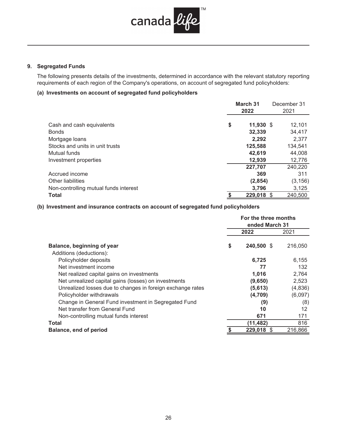

### **9. Segregated Funds**

The following presents details of the investments, determined in accordance with the relevant statutory reporting requirements of each region of the Company's operations, on account of segregated fund policyholders:

# **(a) Investments on account of segregated fund policyholders**

|                                           | March 31<br>2022  |  | December 31<br>2021 |
|-------------------------------------------|-------------------|--|---------------------|
|                                           | \$<br>$11,930$ \$ |  |                     |
| Cash and cash equivalents<br><b>Bonds</b> | 32,339            |  | 12,101<br>34,417    |
| Mortgage loans                            | 2,292             |  | 2,377               |
| Stocks and units in unit trusts           | 125,588           |  | 134,541             |
| Mutual funds                              | 42,619            |  | 44,008              |
| Investment properties                     | 12,939            |  | 12,776              |
|                                           | 227,707           |  | 240,220             |
| Accrued income                            | 369               |  | 311                 |
| Other liabilities                         | (2, 854)          |  | (3, 156)            |
| Non-controlling mutual funds interest     | 3.796             |  | 3,125               |
| <b>Total</b>                              | 229,018 \$        |  | 240,500             |

## **(b) Investment and insurance contracts on account of segregated fund policyholders**

|                                                            | For the three months<br>ended March 31 |         |
|------------------------------------------------------------|----------------------------------------|---------|
|                                                            | 2022                                   | 2021    |
| Balance, beginning of year<br>Additions (deductions):      | \$<br>240,500 \$                       | 216,050 |
| Policyholder deposits                                      | 6,725                                  | 6,155   |
| Net investment income                                      | 77                                     | 132     |
| Net realized capital gains on investments                  | 1,016                                  | 2,764   |
| Net unrealized capital gains (losses) on investments       | (9,650)                                | 2,523   |
| Unrealized losses due to changes in foreign exchange rates | (5,613)                                | (4,836) |
| Policyholder withdrawals                                   | (4,709)                                | (6,097) |
| Change in General Fund investment in Segregated Fund       | (9)                                    | (8)     |
| Net transfer from General Fund                             | 10                                     | 12      |
| Non-controlling mutual funds interest                      | 671                                    | 171     |
| Total                                                      | (11, 482)                              | 816     |
| <b>Balance, end of period</b>                              | 229,018<br>-S                          | 216,866 |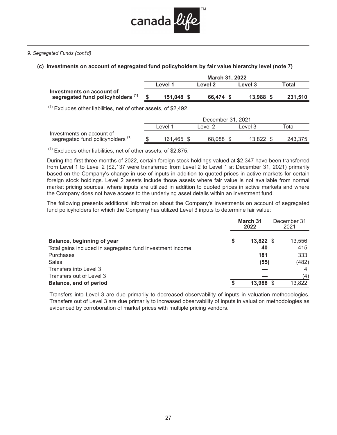

#### *9. Segregated Funds (cont'd)*

# **(c) Investments on account of segregated fund policyholders by fair value hierarchy level (note 7)**

|                                                                | <b>March 31, 2022</b> |         |           |  |           |         |  |  |  |  |  |
|----------------------------------------------------------------|-----------------------|---------|-----------|--|-----------|---------|--|--|--|--|--|
|                                                                |                       | Level 1 | Level 2   |  | Level 3   | Total   |  |  |  |  |  |
| Investments on account of<br>segregated fund policyholders (1) |                       | 151.048 | 66.474 \$ |  | 13.988 \$ | 231.510 |  |  |  |  |  |
|                                                                |                       |         |           |  |           |         |  |  |  |  |  |

 $(1)$  Excludes other liabilities, net of other assets, of \$2,492.

|                                   | December 31, 2021  |  |           |         |        |         |  |  |  |  |
|-----------------------------------|--------------------|--|-----------|---------|--------|---------|--|--|--|--|
|                                   | Level <sup>1</sup> |  | Level 2   | Level 3 |        | Total   |  |  |  |  |
| Investments on account of         |                    |  |           |         |        |         |  |  |  |  |
| segregated fund policyholders (1) | 161,465 \$         |  | 68.088 \$ |         | 13.822 | 243.375 |  |  |  |  |
|                                   |                    |  |           |         |        |         |  |  |  |  |

 $(1)$  Excludes other liabilities, net of other assets, of \$2,875.

During the first three months of 2022, certain foreign stock holdings valued at \$2,347 have been transferred from Level 1 to Level 2 (\$2,137 were transferred from Level 2 to Level 1 at December 31, 2021) primarily based on the Company's change in use of inputs in addition to quoted prices in active markets for certain foreign stock holdings. Level 2 assets include those assets where fair value is not available from normal market pricing sources, where inputs are utilized in addition to quoted prices in active markets and where the Company does not have access to the underlying asset details within an investment fund.

The following presents additional information about the Company's investments on account of segregated fund policyholders for which the Company has utilized Level 3 inputs to determine fair value:

|                                                           | March 31<br>2022 | December 31<br>2021 |        |
|-----------------------------------------------------------|------------------|---------------------|--------|
| Balance, beginning of year                                | \$<br>13,822 \$  |                     | 13,556 |
| Total gains included in segregated fund investment income | 40               |                     | 415    |
| Purchases                                                 | 181              |                     | 333    |
| Sales                                                     | (55)             |                     | (482)  |
| Transfers into Level 3                                    |                  |                     | 4      |
| Transfers out of Level 3                                  |                  |                     | (4)    |
| <b>Balance, end of period</b>                             | 13,988           |                     | 13,822 |

Transfers into Level 3 are due primarily to decreased observability of inputs in valuation methodologies. Transfers out of Level 3 are due primarily to increased observability of inputs in valuation methodologies as evidenced by corroboration of market prices with multiple pricing vendors.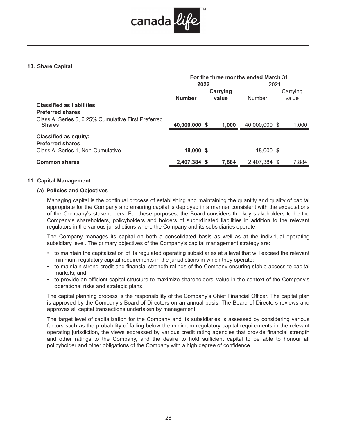

## **10. Share Capital**

|                                                                      | For the three months ended March 31 |          |               |  |          |  |  |  |  |
|----------------------------------------------------------------------|-------------------------------------|----------|---------------|--|----------|--|--|--|--|
|                                                                      | 2022                                |          | 2021          |  |          |  |  |  |  |
|                                                                      |                                     | Carrying |               |  | Carrying |  |  |  |  |
|                                                                      | <b>Number</b>                       | value    | Number        |  | value    |  |  |  |  |
| <b>Classified as liabilities:</b>                                    |                                     |          |               |  |          |  |  |  |  |
| <b>Preferred shares</b>                                              |                                     |          |               |  |          |  |  |  |  |
| Class A, Series 6, 6.25% Cumulative First Preferred<br><b>Shares</b> | 40,000,000 \$                       | 1,000    | 40,000,000 \$ |  | 1,000    |  |  |  |  |
| <b>Classified as equity:</b>                                         |                                     |          |               |  |          |  |  |  |  |
| <b>Preferred shares</b>                                              |                                     |          |               |  |          |  |  |  |  |
| Class A, Series 1, Non-Cumulative                                    | 18,000 \$                           |          | 18,000 \$     |  |          |  |  |  |  |
| <b>Common shares</b>                                                 | 2,407,384 \$                        | 7,884    | 2,407,384 \$  |  | 7,884    |  |  |  |  |

#### **11. Capital Management**

## **(a) Policies and Objectives**

Managing capital is the continual process of establishing and maintaining the quantity and quality of capital appropriate for the Company and ensuring capital is deployed in a manner consistent with the expectations of the Company's stakeholders. For these purposes, the Board considers the key stakeholders to be the Company's shareholders, policyholders and holders of subordinated liabilities in addition to the relevant regulators in the various jurisdictions where the Company and its subsidiaries operate.

The Company manages its capital on both a consolidated basis as well as at the individual operating subsidiary level. The primary objectives of the Company's capital management strategy are:

- to maintain the capitalization of its regulated operating subsidiaries at a level that will exceed the relevant minimum regulatory capital requirements in the jurisdictions in which they operate;
- to maintain strong credit and financial strength ratings of the Company ensuring stable access to capital markets; and
- to provide an efficient capital structure to maximize shareholders' value in the context of the Company's operational risks and strategic plans.

The capital planning process is the responsibility of the Company's Chief Financial Officer. The capital plan is approved by the Company's Board of Directors on an annual basis. The Board of Directors reviews and approves all capital transactions undertaken by management.

The target level of capitalization for the Company and its subsidiaries is assessed by considering various factors such as the probability of falling below the minimum regulatory capital requirements in the relevant operating jurisdiction, the views expressed by various credit rating agencies that provide financial strength and other ratings to the Company, and the desire to hold sufficient capital to be able to honour all policyholder and other obligations of the Company with a high degree of confidence.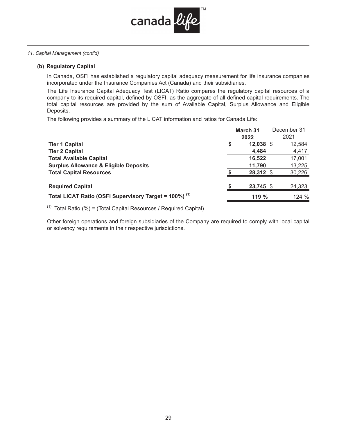

#### *11. Capital Management (cont'd)*

#### **(b) Regulatory Capital**

In Canada, OSFI has established a regulatory capital adequacy measurement for life insurance companies incorporated under the Insurance Companies Act (Canada) and their subsidiaries.

The Life Insurance Capital Adequacy Test (LICAT) Ratio compares the regulatory capital resources of a company to its required capital, defined by OSFI, as the aggregate of all defined capital requirements. The total capital resources are provided by the sum of Available Capital, Surplus Allowance and Eligible Deposits.

The following provides a summary of the LICAT information and ratios for Canada Life:

|                                                                   | <b>March 31</b> | December 31 |
|-------------------------------------------------------------------|-----------------|-------------|
|                                                                   | 2022            | 2021        |
| <b>Tier 1 Capital</b>                                             | 12,038 \$       | 12,584      |
| <b>Tier 2 Capital</b>                                             | 4,484           | 4,417       |
| <b>Total Available Capital</b>                                    | 16,522          | 17,001      |
| <b>Surplus Allowance &amp; Eligible Deposits</b>                  | 11,790          | 13,225      |
| <b>Total Capital Resources</b>                                    | 28,312 \$       | 30,226      |
| <b>Required Capital</b>                                           | 23,745 \$       | 24,323      |
| Total LICAT Ratio (OSFI Supervisory Target = 100%) <sup>(1)</sup> | 119%            | 124%        |

 $(1)$  Total Ratio (%) = (Total Capital Resources / Required Capital)

Other foreign operations and foreign subsidiaries of the Company are required to comply with local capital or solvency requirements in their respective jurisdictions.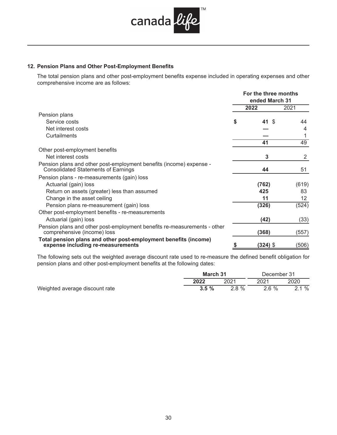

# **12. Pension Plans and Other Post-Employment Benefits**

The total pension plans and other post-employment benefits expense included in operating expenses and other comprehensive income are as follows:

|                                                                                                                   |    | For the three months<br>ended March 31 |                 |
|-------------------------------------------------------------------------------------------------------------------|----|----------------------------------------|-----------------|
| Service costs                                                                                                     |    | 2022                                   | 2021            |
| Pension plans                                                                                                     |    |                                        |                 |
|                                                                                                                   | \$ | 41<br>- \$                             | 44              |
| Net interest costs                                                                                                |    |                                        | 4               |
| Curtailments                                                                                                      |    |                                        |                 |
|                                                                                                                   |    | 41                                     | 49              |
| Other post-employment benefits                                                                                    |    |                                        |                 |
| Net interest costs                                                                                                |    | 3                                      | 2               |
| Pension plans and other post-employment benefits (income) expense -<br><b>Consolidated Statements of Earnings</b> |    | 44                                     | 51              |
| Pension plans - re-measurements (gain) loss                                                                       |    |                                        |                 |
| Actuarial (gain) loss                                                                                             |    | (762)                                  | (619)           |
| Return on assets (greater) less than assumed                                                                      |    | 425                                    | 83              |
| Change in the asset ceiling                                                                                       |    | 11                                     | 12 <sup>°</sup> |
| Pension plans re-measurement (gain) loss                                                                          |    | (326)                                  | (524)           |
| Other post-employment benefits - re-measurements                                                                  |    |                                        |                 |
| Actuarial (gain) loss                                                                                             |    | (42)                                   | (33)            |
| Pension plans and other post-employment benefits re-measurements - other<br>comprehensive (income) loss           |    | (368)                                  | (557)           |
| Total pension plans and other post-employment benefits (income)<br>expense including re-measurements              |    | (324) \$                               | (506)           |

The following sets out the weighted average discount rate used to re-measure the defined benefit obligation for pension plans and other post-employment benefits at the following dates:

|                                | March 31 |          | December 31 |      |
|--------------------------------|----------|----------|-------------|------|
|                                | 2022     | 2021     | 2021        | 2020 |
| Weighted average discount rate | $3.5 \%$ | $2.8 \%$ | $2.6 \%$    | 2.1% |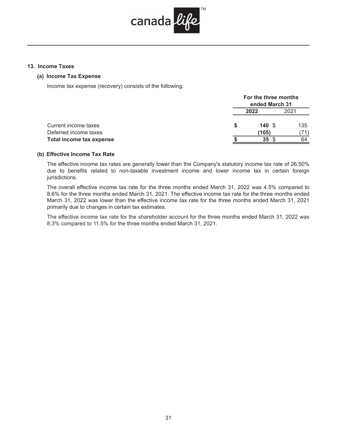

## **13. Income Taxes**

#### **(a) Income Tax Expense**

Income tax expense (recovery) consists of the following:

|                                 | For the three months<br>ended March 31 |      |  |
|---------------------------------|----------------------------------------|------|--|
|                                 | 2022                                   | 2021 |  |
| Current income taxes            | 140S                                   | 135  |  |
| Deferred income taxes           | (105)                                  |      |  |
| <b>Total income tax expense</b> | 35                                     | 64   |  |

## **(b) Effective Income Tax Rate**

The effective income tax rates are generally lower than the Company's statutory income tax rate of 26.50% due to benefits related to non-taxable investment income and lower income tax in certain foreign jurisdictions.

The overall effective income tax rate for the three months ended March 31, 2022 was 4.5% compared to 8.6% for the three months ended March 31, 2021. The effective income tax rate for the three months ended March 31, 2022 was lower than the effective income tax rate for the three months ended March 31, 2021 primarily due to changes in certain tax estimates.

The effective income tax rate for the shareholder account for the three months ended March 31, 2022 was 8.3% compared to 11.5% for the three months ended March 31, 2021.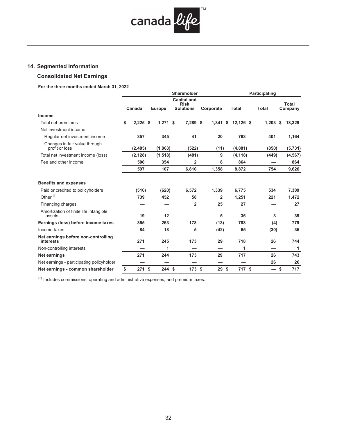

# **14. Segmented Information**

# **Consolidated Net Earnings**

**For the three months ended March 31, 2022** 

|                                                  | Shareholder |            |  |               |                                                       |  | Participating |              |  |                          |                  |  |
|--------------------------------------------------|-------------|------------|--|---------------|-------------------------------------------------------|--|---------------|--------------|--|--------------------------|------------------|--|
|                                                  |             | Canada     |  | <b>Europe</b> | <b>Capital and</b><br><b>Risk</b><br><b>Solutions</b> |  | Corporate     | <b>Total</b> |  | <b>Total</b>             | Total<br>Company |  |
| Income                                           |             |            |  |               |                                                       |  |               |              |  |                          |                  |  |
| Total net premiums                               | \$          | $2,225$ \$ |  | $1,271$ \$    | 7,289 \$                                              |  | 1,341<br>\$   | $12,126$ \$  |  | 1,203                    | 13,329<br>-\$    |  |
| Net investment income                            |             |            |  |               |                                                       |  |               |              |  |                          |                  |  |
| Regular net investment income                    |             | 357        |  | 345           | 41                                                    |  | 20            | 763          |  | 401                      | 1,164            |  |
| Changes in fair value through<br>profit or loss  |             | (2, 485)   |  | (1,863)       | (522)                                                 |  | (11)          | (4,881)      |  | (850)                    | (5, 731)         |  |
| Total net investment income (loss)               |             | (2, 128)   |  | (1, 518)      | (481)                                                 |  | 9             | (4, 118)     |  | (449)                    | (4, 567)         |  |
| Fee and other income                             |             | 500        |  | 354           | 2                                                     |  | 8             | 864          |  |                          | 864              |  |
|                                                  |             | 597        |  | 107           | 6,810                                                 |  | 1,358         | 8,872        |  | 754                      | 9,626            |  |
| <b>Benefits and expenses</b>                     |             |            |  |               |                                                       |  |               |              |  |                          |                  |  |
| Paid or credited to policyholders                |             | (516)      |  | (620)         | 6,572                                                 |  | 1,339         | 6,775        |  | 534                      | 7,309            |  |
| Other <sup>(1)</sup>                             |             | 739        |  | 452           | 58                                                    |  | $\mathbf{2}$  | 1,251        |  | 221                      | 1,472            |  |
| Financing charges                                |             |            |  |               | $\overline{2}$                                        |  | 25            | 27           |  |                          | 27               |  |
| Amortization of finite life intangible<br>assets |             | 19         |  | 12            |                                                       |  | 5             | 36           |  | 3                        | 39               |  |
| Earnings (loss) before income taxes              |             | 355        |  | 263           | 178                                                   |  | (13)          | 783          |  | (4)                      | 779              |  |
| Income taxes                                     |             | 84         |  | 18            | 5                                                     |  | (42)          | 65           |  | (30)                     | 35               |  |
| Net earnings before non-controlling<br>interests |             | 271        |  | 245           | 173                                                   |  | 29            | 718          |  | 26                       | 744              |  |
| Non-controlling interests                        |             |            |  | 1             |                                                       |  |               | 1            |  |                          | 1                |  |
| Net earnings                                     |             | 271        |  | 244           | 173                                                   |  | 29            | 717          |  | 26                       | 743              |  |
| Net earnings - participating policyholder        |             |            |  |               |                                                       |  |               |              |  | 26                       | 26               |  |
| Net earnings - common shareholder                | \$          | 271S       |  | 244S          | 173S                                                  |  | 29S           | 717 \$       |  | $\overline{\phantom{0}}$ | 717<br>\$        |  |

 $<sup>(1)</sup>$  Includes commissions, operating and administrative expenses, and premium taxes.</sup>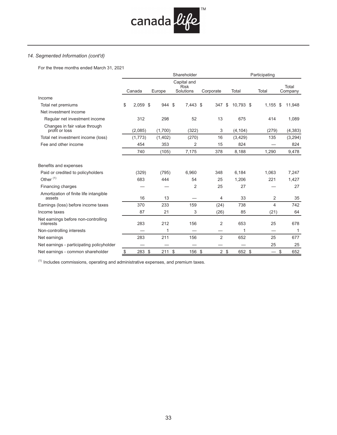

# *14. Segmented Information (cont'd)*

For the three months ended March 31, 2021

| Shareholder |                 |        |                      |             |                                                |                                 |                                       | Participating                                                                                                                   |              |  |  |
|-------------|-----------------|--------|----------------------|-------------|------------------------------------------------|---------------------------------|---------------------------------------|---------------------------------------------------------------------------------------------------------------------------------|--------------|--|--|
|             |                 |        |                      | <b>Risk</b> |                                                |                                 |                                       |                                                                                                                                 | Total        |  |  |
|             |                 |        |                      |             |                                                |                                 |                                       |                                                                                                                                 | Company      |  |  |
|             |                 |        |                      |             |                                                |                                 |                                       |                                                                                                                                 |              |  |  |
| \$          |                 |        |                      |             | 347                                            | \$                              |                                       | 1,155                                                                                                                           | \$<br>11,948 |  |  |
|             |                 |        |                      |             |                                                |                                 |                                       |                                                                                                                                 |              |  |  |
|             | 312             |        | 298                  | 52          | 13                                             |                                 |                                       | 414                                                                                                                             | 1,089        |  |  |
|             | (2,085)         |        | (1,700)              | (322)       | 3                                              |                                 |                                       | (279)                                                                                                                           | (4, 383)     |  |  |
|             | (1,773)         |        | (1,402)              | (270)       | 16                                             |                                 |                                       | 135                                                                                                                             | (3,294)      |  |  |
|             | 454             |        | 353                  | 2           | 15                                             |                                 |                                       |                                                                                                                                 | 824          |  |  |
|             | 740             |        | (105)                | 7,175       | 378                                            |                                 |                                       | 1,290                                                                                                                           | 9,478        |  |  |
|             |                 |        |                      |             |                                                |                                 |                                       |                                                                                                                                 |              |  |  |
|             | (329)           |        | (795)                | 6,960       | 348                                            |                                 |                                       | 1,063                                                                                                                           | 7,247        |  |  |
|             | 683             |        | 444                  | 54          | 25                                             |                                 |                                       | 221                                                                                                                             | 1,427        |  |  |
|             |                 |        |                      | 2           | 25                                             |                                 |                                       |                                                                                                                                 | 27           |  |  |
|             | 16              |        | 13                   |             | 4                                              |                                 |                                       | 2                                                                                                                               | 35           |  |  |
|             | 370             |        | 233                  | 159         |                                                |                                 |                                       | 4                                                                                                                               | 742          |  |  |
|             | 87              |        | 21                   | 3           |                                                |                                 |                                       | (21)                                                                                                                            | 64           |  |  |
|             | 283             |        | 212                  | 156         | 2                                              |                                 |                                       | 25                                                                                                                              | 678          |  |  |
|             |                 |        | 1                    |             |                                                |                                 |                                       |                                                                                                                                 | 1            |  |  |
|             | 283             |        | 211                  | 156         | $\overline{2}$                                 |                                 |                                       | 25                                                                                                                              | 677          |  |  |
|             |                 |        |                      |             |                                                |                                 |                                       | 25                                                                                                                              | 25           |  |  |
|             |                 |        |                      |             |                                                |                                 |                                       | $\overbrace{\phantom{aaaaa}}$                                                                                                   | \$<br>652    |  |  |
|             | $\frac{\$}{\ }$ | Canada | $2,059$ \$<br>283 \$ | Europe      | Capital and<br>Solutions<br>944 \$<br>$211$ \$ | Corporate<br>7,443 \$<br>156 \$ | Total<br>(24)<br>(26)<br>$2 \sqrt{3}$ | 10,793 \$<br>675<br>(4, 104)<br>(3,429)<br>824<br>8,188<br>6,184<br>1,206<br>27<br>33<br>738<br>85<br>653<br>1<br>652<br>652 \$ | Total        |  |  |

 $<sup>(1)</sup>$  Includes commissions, operating and administrative expenses, and premium taxes.</sup>